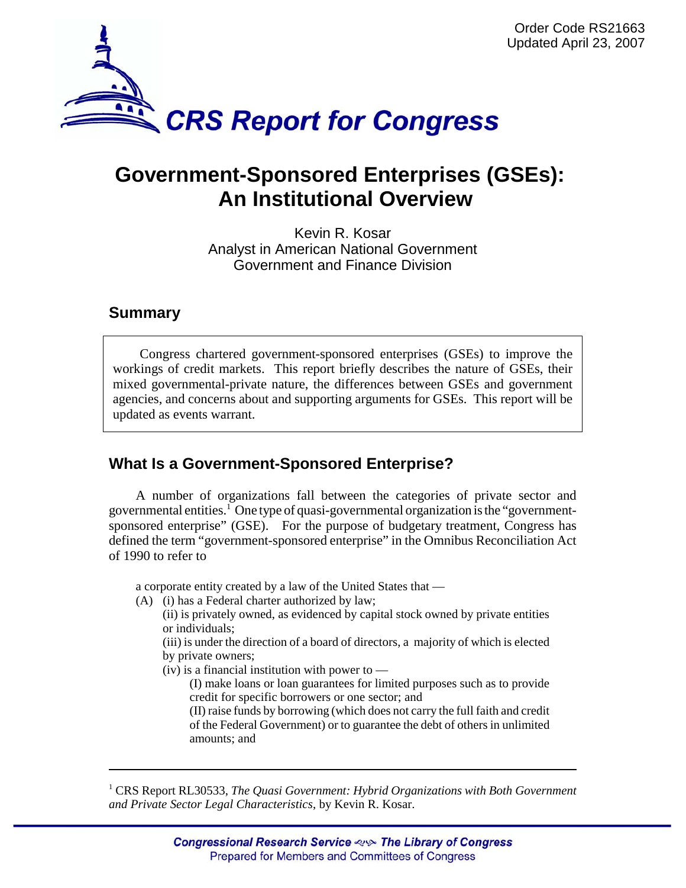

# **Government-Sponsored Enterprises (GSEs): An Institutional Overview**

Kevin R. Kosar Analyst in American National Government Government and Finance Division

# **Summary**

Congress chartered government-sponsored enterprises (GSEs) to improve the workings of credit markets. This report briefly describes the nature of GSEs, their mixed governmental-private nature, the differences between GSEs and government agencies, and concerns about and supporting arguments for GSEs. This report will be updated as events warrant.

# **What Is a Government-Sponsored Enterprise?**

A number of organizations fall between the categories of private sector and governmental entities.<sup>1</sup> One type of quasi-governmental organization is the "governmentsponsored enterprise" (GSE). For the purpose of budgetary treatment, Congress has defined the term "government-sponsored enterprise" in the Omnibus Reconciliation Act of 1990 to refer to

a corporate entity created by a law of the United States that —

(A) (i) has a Federal charter authorized by law;

(ii) is privately owned, as evidenced by capital stock owned by private entities or individuals;

(iii) is under the direction of a board of directors, a majority of which is elected by private owners;

 $(iv)$  is a financial institution with power to —

(I) make loans or loan guarantees for limited purposes such as to provide credit for specific borrowers or one sector; and

(II) raise funds by borrowing (which does not carry the full faith and credit of the Federal Government) or to guarantee the debt of others in unlimited amounts; and

<sup>1</sup> CRS Report RL30533, *The Quasi Government: Hybrid Organizations with Both Government and Private Sector Legal Characteristics*, by Kevin R. Kosar.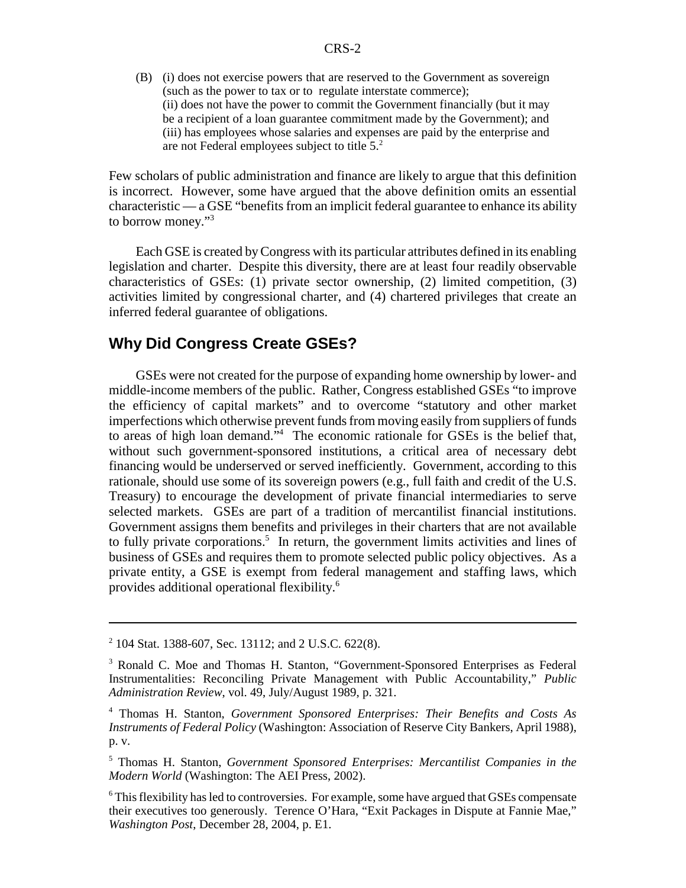(B) (i) does not exercise powers that are reserved to the Government as sovereign (such as the power to tax or to regulate interstate commerce); (ii) does not have the power to commit the Government financially (but it may be a recipient of a loan guarantee commitment made by the Government); and (iii) has employees whose salaries and expenses are paid by the enterprise and are not Federal employees subject to title 5.2

Few scholars of public administration and finance are likely to argue that this definition is incorrect. However, some have argued that the above definition omits an essential characteristic — a GSE "benefits from an implicit federal guarantee to enhance its ability to borrow money."3

Each GSE is created by Congress with its particular attributes defined in its enabling legislation and charter. Despite this diversity, there are at least four readily observable characteristics of GSEs: (1) private sector ownership, (2) limited competition, (3) activities limited by congressional charter, and (4) chartered privileges that create an inferred federal guarantee of obligations.

## **Why Did Congress Create GSEs?**

GSEs were not created for the purpose of expanding home ownership by lower- and middle-income members of the public. Rather, Congress established GSEs "to improve the efficiency of capital markets" and to overcome "statutory and other market imperfections which otherwise prevent funds from moving easily from suppliers of funds to areas of high loan demand."4 The economic rationale for GSEs is the belief that, without such government-sponsored institutions, a critical area of necessary debt financing would be underserved or served inefficiently. Government, according to this rationale, should use some of its sovereign powers (e.g., full faith and credit of the U.S. Treasury) to encourage the development of private financial intermediaries to serve selected markets. GSEs are part of a tradition of mercantilist financial institutions. Government assigns them benefits and privileges in their charters that are not available to fully private corporations.<sup>5</sup> In return, the government limits activities and lines of business of GSEs and requires them to promote selected public policy objectives. As a private entity, a GSE is exempt from federal management and staffing laws, which provides additional operational flexibility.6

<sup>2</sup> 104 Stat. 1388-607, Sec. 13112; and 2 U.S.C. 622(8).

<sup>&</sup>lt;sup>3</sup> Ronald C. Moe and Thomas H. Stanton, "Government-Sponsored Enterprises as Federal Instrumentalities: Reconciling Private Management with Public Accountability," *Public Administration Review*, vol. 49, July/August 1989, p. 321.

<sup>4</sup> Thomas H. Stanton, *Government Sponsored Enterprises: Their Benefits and Costs As Instruments of Federal Policy* (Washington: Association of Reserve City Bankers, April 1988), p. v.

<sup>5</sup> Thomas H. Stanton, *Government Sponsored Enterprises: Mercantilist Companies in the Modern World* (Washington: The AEI Press, 2002).

<sup>&</sup>lt;sup>6</sup> This flexibility has led to controversies. For example, some have argued that GSEs compensate their executives too generously. Terence O'Hara, "Exit Packages in Dispute at Fannie Mae," *Washington Post*, December 28, 2004, p. E1.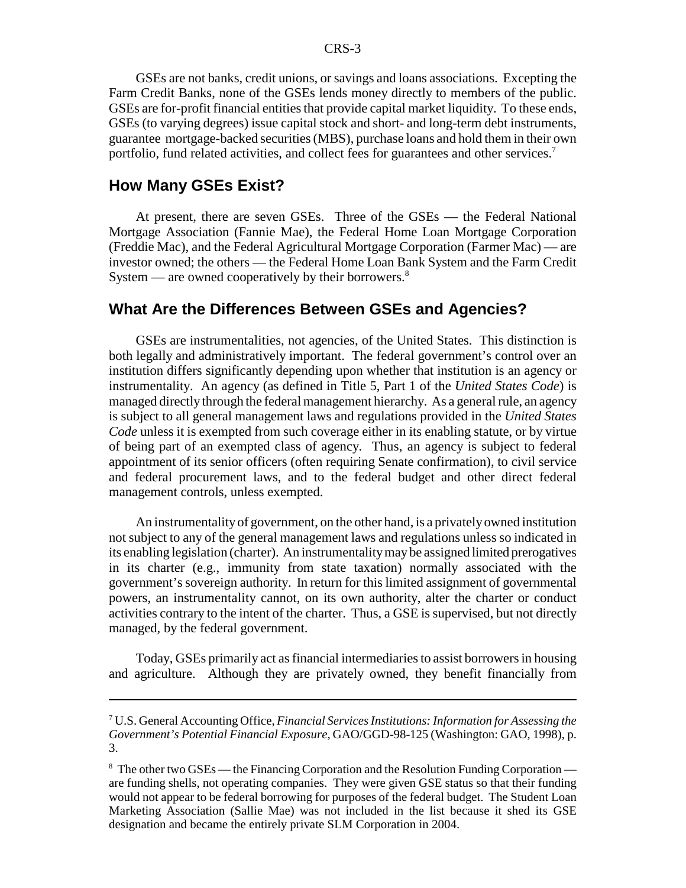GSEs are not banks, credit unions, or savings and loans associations. Excepting the Farm Credit Banks, none of the GSEs lends money directly to members of the public. GSEs are for-profit financial entities that provide capital market liquidity. To these ends, GSEs (to varying degrees) issue capital stock and short- and long-term debt instruments, guarantee mortgage-backed securities (MBS), purchase loans and hold them in their own portfolio, fund related activities, and collect fees for guarantees and other services.<sup>7</sup>

#### **How Many GSEs Exist?**

At present, there are seven GSEs. Three of the GSEs — the Federal National Mortgage Association (Fannie Mae), the Federal Home Loan Mortgage Corporation (Freddie Mac), and the Federal Agricultural Mortgage Corporation (Farmer Mac) — are investor owned; the others — the Federal Home Loan Bank System and the Farm Credit System — are owned cooperatively by their borrowers.<sup>8</sup>

## **What Are the Differences Between GSEs and Agencies?**

GSEs are instrumentalities, not agencies, of the United States. This distinction is both legally and administratively important. The federal government's control over an institution differs significantly depending upon whether that institution is an agency or instrumentality. An agency (as defined in Title 5, Part 1 of the *United States Code*) is managed directly through the federal management hierarchy. As a general rule, an agency is subject to all general management laws and regulations provided in the *United States Code* unless it is exempted from such coverage either in its enabling statute, or by virtue of being part of an exempted class of agency. Thus, an agency is subject to federal appointment of its senior officers (often requiring Senate confirmation), to civil service and federal procurement laws, and to the federal budget and other direct federal management controls, unless exempted.

An instrumentality of government, on the other hand, is a privately owned institution not subject to any of the general management laws and regulations unless so indicated in its enabling legislation (charter). An instrumentality may be assigned limited prerogatives in its charter (e.g., immunity from state taxation) normally associated with the government's sovereign authority. In return for this limited assignment of governmental powers, an instrumentality cannot, on its own authority, alter the charter or conduct activities contrary to the intent of the charter. Thus, a GSE is supervised, but not directly managed, by the federal government.

Today, GSEs primarily act as financial intermediaries to assist borrowers in housing and agriculture. Although they are privately owned, they benefit financially from

<sup>7</sup> U.S. General Accounting Office, *Financial Services Institutions: Information for Assessing the Government's Potential Financial Exposure,* GAO/GGD-98-125 (Washington: GAO, 1998), p. 3.

<sup>&</sup>lt;sup>8</sup> The other two GSEs — the Financing Corporation and the Resolution Funding Corporation are funding shells, not operating companies. They were given GSE status so that their funding would not appear to be federal borrowing for purposes of the federal budget. The Student Loan Marketing Association (Sallie Mae) was not included in the list because it shed its GSE designation and became the entirely private SLM Corporation in 2004.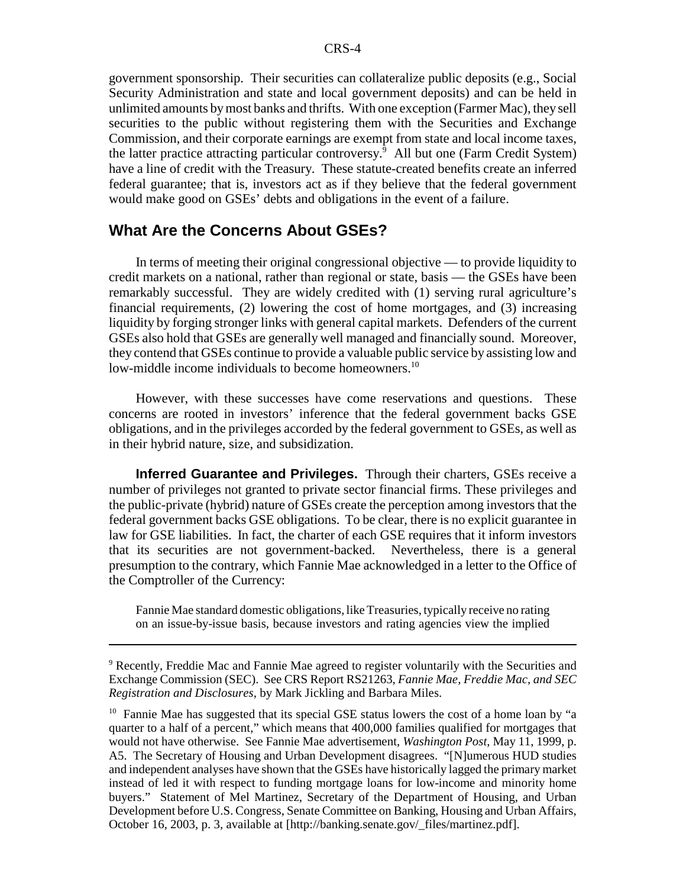government sponsorship. Their securities can collateralize public deposits (e.g., Social Security Administration and state and local government deposits) and can be held in unlimited amounts by most banks and thrifts. With one exception (Farmer Mac), they sell securities to the public without registering them with the Securities and Exchange Commission, and their corporate earnings are exempt from state and local income taxes, the latter practice attracting particular controversy.<sup>9</sup> All but one (Farm Credit System) have a line of credit with the Treasury. These statute-created benefits create an inferred federal guarantee; that is, investors act as if they believe that the federal government would make good on GSEs' debts and obligations in the event of a failure.

## **What Are the Concerns About GSEs?**

In terms of meeting their original congressional objective — to provide liquidity to credit markets on a national, rather than regional or state, basis — the GSEs have been remarkably successful. They are widely credited with (1) serving rural agriculture's financial requirements, (2) lowering the cost of home mortgages, and (3) increasing liquidity by forging stronger links with general capital markets. Defenders of the current GSEs also hold that GSEs are generally well managed and financially sound. Moreover, they contend that GSEs continue to provide a valuable public service by assisting low and low-middle income individuals to become homeowners.<sup>10</sup>

However, with these successes have come reservations and questions. These concerns are rooted in investors' inference that the federal government backs GSE obligations, and in the privileges accorded by the federal government to GSEs, as well as in their hybrid nature, size, and subsidization.

**Inferred Guarantee and Privileges.** Through their charters, GSEs receive a number of privileges not granted to private sector financial firms. These privileges and the public-private (hybrid) nature of GSEs create the perception among investors that the federal government backs GSE obligations. To be clear, there is no explicit guarantee in law for GSE liabilities. In fact, the charter of each GSE requires that it inform investors that its securities are not government-backed. Nevertheless, there is a general presumption to the contrary, which Fannie Mae acknowledged in a letter to the Office of the Comptroller of the Currency:

Fannie Mae standard domestic obligations, like Treasuries, typically receive no rating on an issue-by-issue basis, because investors and rating agencies view the implied

<sup>9</sup> Recently, Freddie Mac and Fannie Mae agreed to register voluntarily with the Securities and Exchange Commission (SEC). See CRS Report RS21263, *Fannie Mae, Freddie Mac, and SEC Registration and Disclosures*, by Mark Jickling and Barbara Miles.

<sup>10</sup> Fannie Mae has suggested that its special GSE status lowers the cost of a home loan by "a quarter to a half of a percent," which means that 400,000 families qualified for mortgages that would not have otherwise. See Fannie Mae advertisement, *Washington Post*, May 11, 1999, p. A5. The Secretary of Housing and Urban Development disagrees. "[N]umerous HUD studies and independent analyses have shown that the GSEs have historically lagged the primary market instead of led it with respect to funding mortgage loans for low-income and minority home buyers." Statement of Mel Martinez, Secretary of the Department of Housing, and Urban Development before U.S. Congress, Senate Committee on Banking, Housing and Urban Affairs, October 16, 2003, p. 3, available at [http://banking.senate.gov/\_files/martinez.pdf].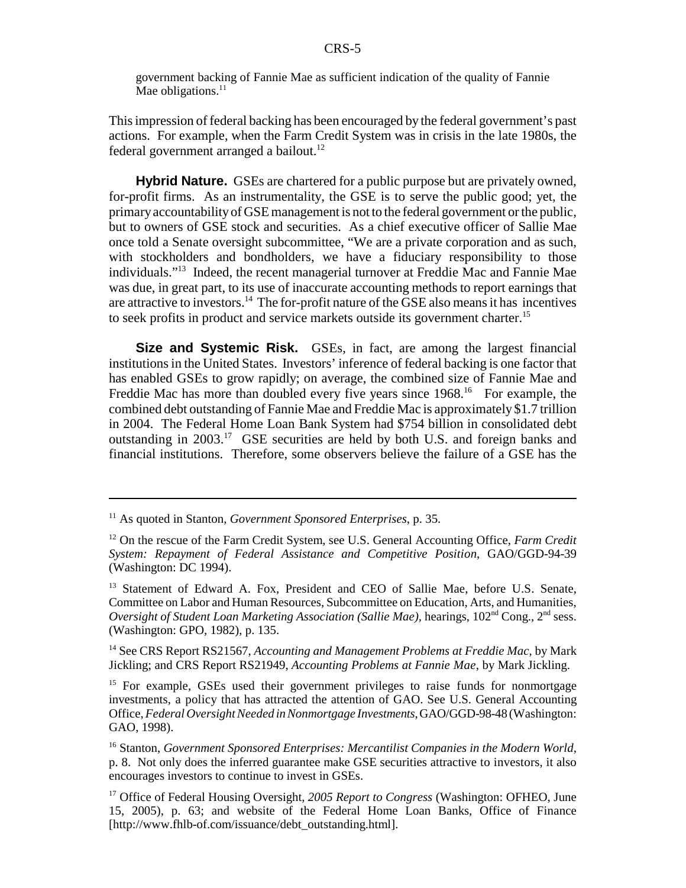government backing of Fannie Mae as sufficient indication of the quality of Fannie Mae obligations.<sup>11</sup>

This impression of federal backing has been encouraged by the federal government's past actions. For example, when the Farm Credit System was in crisis in the late 1980s, the federal government arranged a bailout.<sup>12</sup>

**Hybrid Nature.** GSEs are chartered for a public purpose but are privately owned, for-profit firms. As an instrumentality, the GSE is to serve the public good; yet, the primary accountability of GSE management is not to the federal government or the public, but to owners of GSE stock and securities. As a chief executive officer of Sallie Mae once told a Senate oversight subcommittee, "We are a private corporation and as such, with stockholders and bondholders, we have a fiduciary responsibility to those individuals."13 Indeed, the recent managerial turnover at Freddie Mac and Fannie Mae was due, in great part, to its use of inaccurate accounting methods to report earnings that are attractive to investors.<sup>14</sup> The for-profit nature of the GSE also means it has incentives to seek profits in product and service markets outside its government charter.15

**Size and Systemic Risk.** GSEs, in fact, are among the largest financial institutions in the United States. Investors' inference of federal backing is one factor that has enabled GSEs to grow rapidly; on average, the combined size of Fannie Mae and Freddie Mac has more than doubled every five years since 1968.<sup>16</sup> For example, the combined debt outstanding of Fannie Mae and Freddie Mac is approximately \$1.7 trillion in 2004. The Federal Home Loan Bank System had \$754 billion in consolidated debt outstanding in 2003.17 GSE securities are held by both U.S. and foreign banks and financial institutions. Therefore, some observers believe the failure of a GSE has the

14 See CRS Report RS21567, *Accounting and Management Problems at Freddie Mac*, by Mark Jickling; and CRS Report RS21949, *Accounting Problems at Fannie Mae*, by Mark Jickling.

<sup>15</sup> For example, GSEs used their government privileges to raise funds for nonmortgage investments, a policy that has attracted the attention of GAO. See U.S. General Accounting Office, *Federal Oversight Needed in Nonmortgage Investments*, GAO/GGD-98-48 (Washington: GAO, 1998).

16 Stanton, *Government Sponsored Enterprises: Mercantilist Companies in the Modern World*, p. 8. Not only does the inferred guarantee make GSE securities attractive to investors, it also encourages investors to continue to invest in GSEs.

17 Office of Federal Housing Oversight, *2005 Report to Congress* (Washington: OFHEO, June 15, 2005), p. 63; and website of the Federal Home Loan Banks, Office of Finance [http://www.fhlb-of.com/issuance/debt\_outstanding.html].

<sup>11</sup> As quoted in Stanton, *Government Sponsored Enterprises*, p. 35.

<sup>&</sup>lt;sup>12</sup> On the rescue of the Farm Credit System, see U.S. General Accounting Office, *Farm Credit System: Repayment of Federal Assistance and Competitive Position*, GAO/GGD-94-39 (Washington: DC 1994).

<sup>&</sup>lt;sup>13</sup> Statement of Edward A. Fox, President and CEO of Sallie Mae, before U.S. Senate, Committee on Labor and Human Resources, Subcommittee on Education, Arts, and Humanities, *Oversight of Student Loan Marketing Association (Sallie Mae),* hearings, 102nd Cong., 2nd sess. (Washington: GPO, 1982), p. 135.